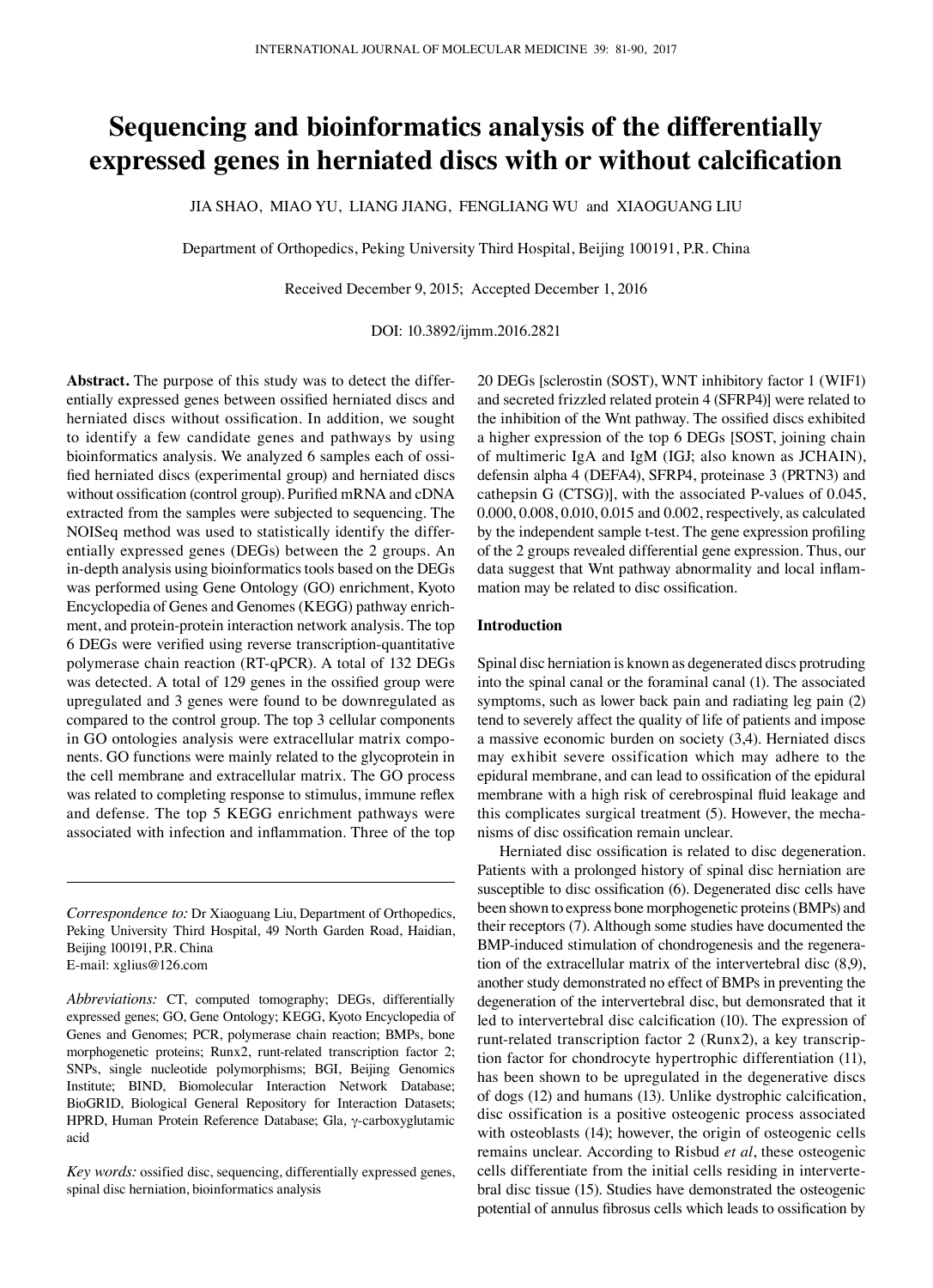# **Sequencing and bioinformatics analysis of the differentially expressed genes in herniated discs with or without calcification**

JIA SHAO, MIAO YU, LIANG JIANG, FENGLIANG WU and XIAOGUANG LIU

Department of Orthopedics, Peking University Third Hospital, Beijing 100191, P.R. China

Received December 9, 2015; Accepted December 1, 2016

DOI: 10.3892/ijmm.2016.2821

**Abstract.** The purpose of this study was to detect the differentially expressed genes between ossified herniated discs and herniated discs without ossification. In addition, we sought to identify a few candidate genes and pathways by using bioinformatics analysis. We analyzed 6 samples each of ossified herniated discs (experimental group) and herniated discs without ossification (control group). Purified mRNA and cDNA extracted from the samples were subjected to sequencing. The NOISeq method was used to statistically identify the differentially expressed genes (DEGs) between the 2 groups. An in-depth analysis using bioinformatics tools based on the DEGs was performed using Gene Ontology (GO) enrichment, Kyoto Encyclopedia of Genes and Genomes (KEGG) pathway enrichment, and protein-protein interaction network analysis. The top 6 DEGs were verified using reverse transcription-quantitative polymerase chain reaction (RT-qPCR). A total of 132 DEGs was detected. A total of 129 genes in the ossified group were upregulated and 3 genes were found to be downregulated as compared to the control group. The top 3 cellular components in GO ontologies analysis were extracellular matrix components. GO functions were mainly related to the glycoprotein in the cell membrane and extracellular matrix. The GO process was related to completing response to stimulus, immune reflex and defense. The top 5 KEGG enrichment pathways were associated with infection and inflammation. Three of the top

*Correspondence to:* Dr Xiaoguang Liu, Department of Orthopedics, Peking University Third Hospital, 49 North Garden Road, Haidian, Beijing 100191, P.R. China E-mail: xglius@126.com

*Abbreviations:* CT, computed tomography; DEGs, differentially expressed genes; GO, Gene Ontology; KEGG, Kyoto Encyclopedia of Genes and Genomes; PCR, polymerase chain reaction; BMPs, bone morphogenetic proteins; Runx2, runt-related transcription factor 2; SNPs, single nucleotide polymorphisms; BGI, Beijing Genomics Institute; BIND, Biomolecular Interaction Network Database; BioGRID, Biological General Repository for Interaction Datasets; HPRD, Human Protein Reference Database; Gla, γ-carboxyglutamic acid

*Key words:* ossified disc, sequencing, differentially expressed genes, spinal disc herniation, bioinformatics analysis

20 DEGs [sclerostin (SOST), WNT inhibitory factor 1 (WIF1) and secreted frizzled related protein 4 (SFRP4)] were related to the inhibition of the Wnt pathway. The ossified discs exhibited a higher expression of the top 6 DEGs [SOST, joining chain of multimeric IgA and IgM (IGJ; also known as JCHAIN), defensin alpha 4 (DEFA4), SFRP4, proteinase 3 (PRTN3) and cathepsin G (CTSG)], with the associated P-values of 0.045, 0.000, 0.008, 0.010, 0.015 and 0.002, respectively, as calculated by the independent sample t-test. The gene expression profiling of the 2 groups revealed differential gene expression. Thus, our data suggest that Wnt pathway abnormality and local inflammation may be related to disc ossification.

#### **Introduction**

Spinal disc herniation is known as degenerated discs protruding into the spinal canal or the foraminal canal (1). The associated symptoms, such as lower back pain and radiating leg pain (2) tend to severely affect the quality of life of patients and impose a massive economic burden on society (3,4). Herniated discs may exhibit severe ossification which may adhere to the epidural membrane, and can lead to ossification of the epidural membrane with a high risk of cerebrospinal fluid leakage and this complicates surgical treatment (5). However, the mechanisms of disc ossification remain unclear.

Herniated disc ossification is related to disc degeneration. Patients with a prolonged history of spinal disc herniation are susceptible to disc ossification (6). Degenerated disc cells have been shown to express bone morphogenetic proteins(BMPs) and their receptors (7). Although some studies have documented the BMP-induced stimulation of chondrogenesis and the regeneration of the extracellular matrix of the intervertebral disc (8,9), another study demonstrated no effect of BMPs in preventing the degeneration of the intervertebral disc, but demonsrated that it led to intervertebral disc calcification (10). The expression of runt-related transcription factor 2 (Runx2), a key transcription factor for chondrocyte hypertrophic differentiation (11), has been shown to be upregulated in the degenerative discs of dogs (12) and humans (13). Unlike dystrophic calcification, disc ossification is a positive osteogenic process associated with osteoblasts (14); however, the origin of osteogenic cells remains unclear. According to Risbud *et al*, these osteogenic cells differentiate from the initial cells residing in intervertebral disc tissue (15). Studies have demonstrated the osteogenic potential of annulus fibrosus cells which leads to ossification by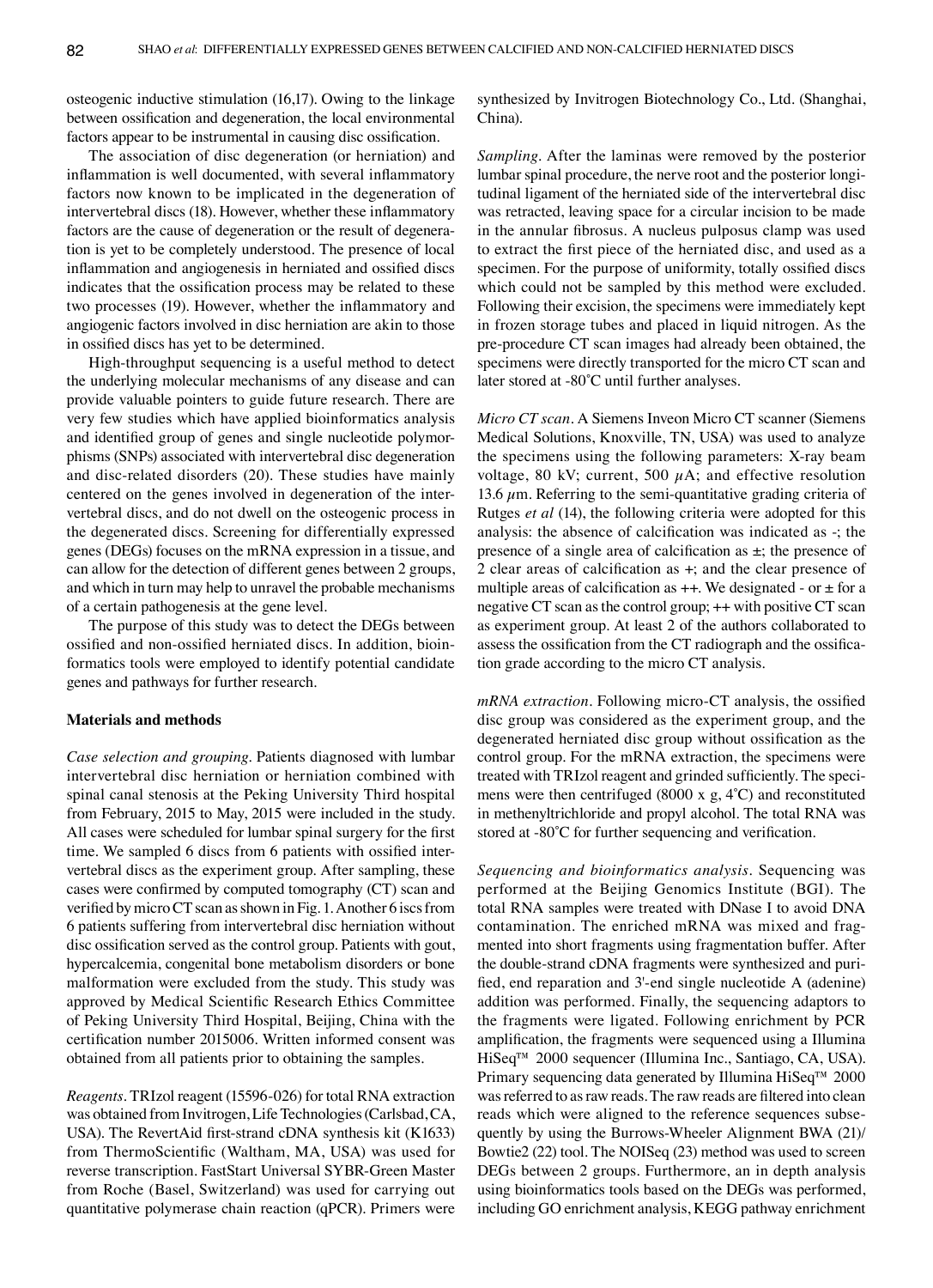osteogenic inductive stimulation (16,17). Owing to the linkage between ossification and degeneration, the local environmental factors appear to be instrumental in causing disc ossification.

The association of disc degeneration (or herniation) and inflammation is well documented, with several inflammatory factors now known to be implicated in the degeneration of intervertebral discs (18). However, whether these inflammatory factors are the cause of degeneration or the result of degeneration is yet to be completely understood. The presence of local inflammation and angiogenesis in herniated and ossified discs indicates that the ossification process may be related to these two processes (19). However, whether the inflammatory and angiogenic factors involved in disc herniation are akin to those in ossified discs has yet to be determined.

High-throughput sequencing is a useful method to detect the underlying molecular mechanisms of any disease and can provide valuable pointers to guide future research. There are very few studies which have applied bioinformatics analysis and identified group of genes and single nucleotide polymorphisms (SNPs) associated with intervertebral disc degeneration and disc-related disorders (20). These studies have mainly centered on the genes involved in degeneration of the intervertebral discs, and do not dwell on the osteogenic process in the degenerated discs. Screening for differentially expressed genes (DEGs) focuses on the mRNA expression in a tissue, and can allow for the detection of different genes between 2 groups, and which in turn may help to unravel the probable mechanisms of a certain pathogenesis at the gene level.

The purpose of this study was to detect the DEGs between ossified and non-ossified herniated discs. In addition, bioinformatics tools were employed to identify potential candidate genes and pathways for further research.

### **Materials and methods**

*Case selection and grouping.* Patients diagnosed with lumbar intervertebral disc herniation or herniation combined with spinal canal stenosis at the Peking University Third hospital from February, 2015 to May, 2015 were included in the study. All cases were scheduled for lumbar spinal surgery for the first time. We sampled 6 discs from 6 patients with ossified intervertebral discs as the experiment group. After sampling, these cases were confirmed by computed tomography (CT) scan and verified by microCT scan as shown in Fig. 1. Another 6 iscs from 6 patients suffering from intervertebral disc herniation without disc ossification served as the control group. Patients with gout, hypercalcemia, congenital bone metabolism disorders or bone malformation were excluded from the study. This study was approved by Medical Scientific Research Ethics Committee of Peking University Third Hospital, Beijing, China with the certification number 2015006. Written informed consent was obtained from all patients prior to obtaining the samples.

*Reagents.* TRIzol reagent (15596-026) for total RNA extraction was obtained from Invitrogen, Life Technologies (Carlsbad, CA, USA). The RevertAid first-strand cDNA synthesis kit (K1633) from ThermoScientific (Waltham, MA, USA) was used for reverse transcription. FastStart Universal SYBR‑Green Master from Roche (Basel, Switzerland) was used for carrying out quantitative polymerase chain reaction (qPCR). Primers were synthesized by Invitrogen Biotechnology Co., Ltd. (Shanghai, China).

*Sampling.* After the laminas were removed by the posterior lumbar spinal procedure, the nerve root and the posterior longitudinal ligament of the herniated side of the intervertebral disc was retracted, leaving space for a circular incision to be made in the annular fibrosus. A nucleus pulposus clamp was used to extract the first piece of the herniated disc, and used as a specimen. For the purpose of uniformity, totally ossified discs which could not be sampled by this method were excluded. Following their excision, the specimens were immediately kept in frozen storage tubes and placed in liquid nitrogen. As the pre-procedure CT scan images had already been obtained, the specimens were directly transported for the micro CT scan and later stored at -80˚C until further analyses.

*Micro CT scan.* A Siemens Inveon Micro CT scanner (Siemens Medical Solutions, Knoxville, TN, USA) was used to analyze the specimens using the following parameters: X-ray beam voltage, 80 kV; current, 500  $\mu$ A; and effective resolution 13.6  $\mu$ m. Referring to the semi-quantitative grading criteria of Rutges *et al* (14), the following criteria were adopted for this analysis: the absence of calcification was indicated as -; the presence of a single area of calcification as ±; the presence of 2 clear areas of calcification as +; and the clear presence of multiple areas of calcification as  $++$ . We designated - or  $\pm$  for a negative CT scan as the control group; ++ with positive CT scan as experiment group. At least 2 of the authors collaborated to assess the ossification from the CT radiograph and the ossification grade according to the micro CT analysis.

*mRNA extraction.* Following micro-CT analysis, the ossified disc group was considered as the experiment group, and the degenerated herniated disc group without ossification as the control group. For the mRNA extraction, the specimens were treated with TRIzol reagent and grinded sufficiently. The specimens were then centrifuged (8000 x g, 4˚C) and reconstituted in methenyltrichloride and propyl alcohol. The total RNA was stored at -80˚C for further sequencing and verification.

*Sequencing and bioinformatics analysis.* Sequencing was performed at the Beijing Genomics Institute (BGI). The total RNA samples were treated with DNase I to avoid DNA contamination. The enriched mRNA was mixed and fragmented into short fragments using fragmentation buffer. After the double-strand cDNA fragments were synthesized and purified, end reparation and 3'-end single nucleotide A (adenine) addition was performed. Finally, the sequencing adaptors to the fragments were ligated. Following enrichment by PCR amplification, the fragments were sequenced using a Illumina HiSeq™ 2000 sequencer (Illumina Inc., Santiago, CA, USA). Primary sequencing data generated by Illumina HiSeq™ 2000 was referred to as raw reads. The raw reads are filtered into clean reads which were aligned to the reference sequences subsequently by using the Burrows-Wheeler Alignment BWA (21)/ Bowtie2 (22) tool. The NOISeq (23) method was used to screen DEGs between 2 groups. Furthermore, an in depth analysis using bioinformatics tools based on the DEGs was performed, including GO enrichment analysis, KEGG pathway enrichment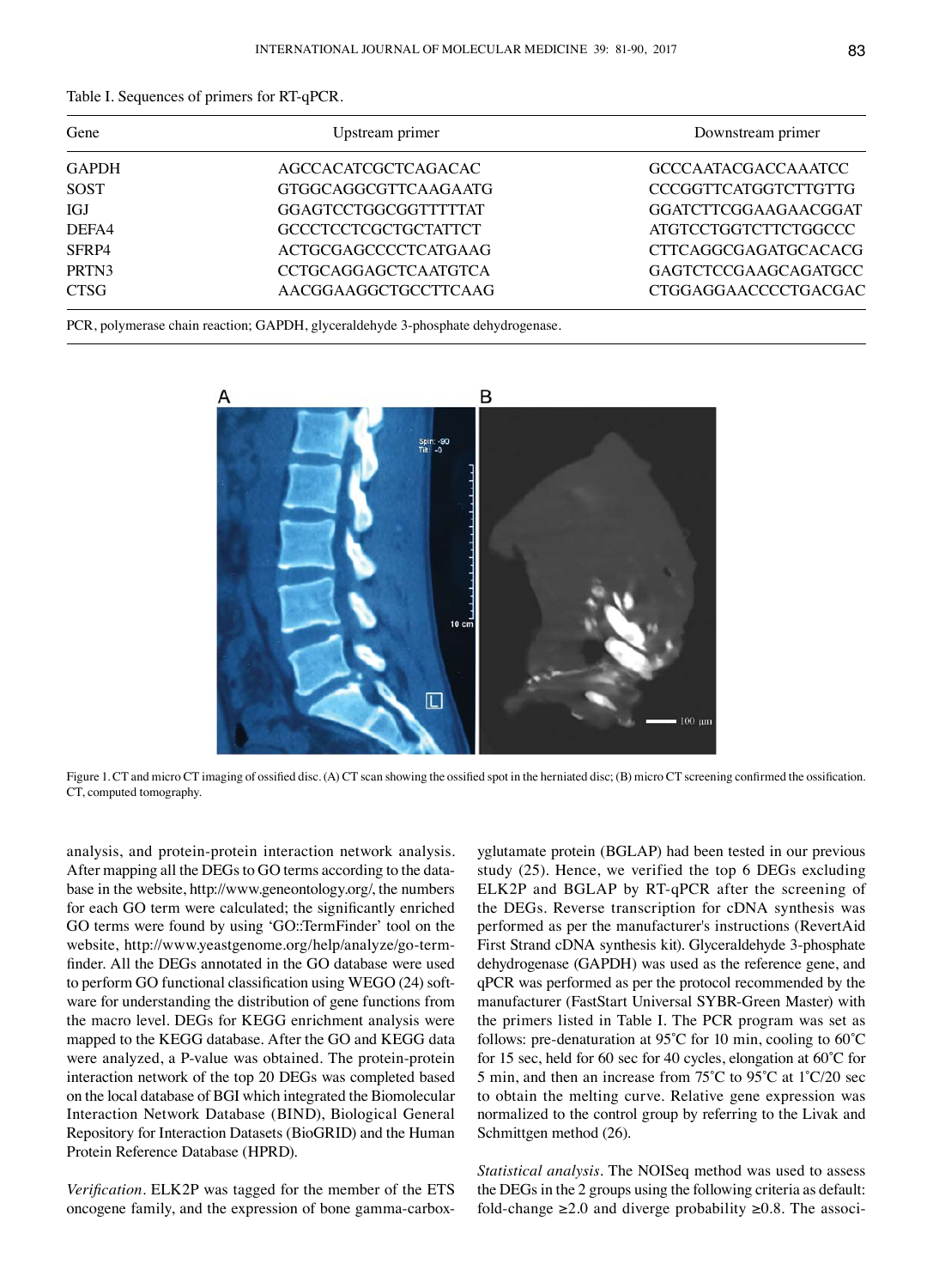|  |  |  | Table I. Sequences of primers for RT-qPCR. |
|--|--|--|--------------------------------------------|
|--|--|--|--------------------------------------------|

| Gene         | Upstream primer             | Downstream primer           |
|--------------|-----------------------------|-----------------------------|
| <b>GAPDH</b> | AGCCACATCGCTCAGACAC         | <b>GCCCAATACGACCAAATCC</b>  |
| <b>SOST</b>  | GTGGCAGGCGTTCAAGAATG        | <b>CCCGGTTCATGGTCTTGTTG</b> |
| IGJ          | GGAGTCCTGGCGGTTTTTAT        | GGATCTTCGGAAGAACGGAT        |
| DEFA4        | <b>GCCCTCCTCGCTGCTATTCT</b> | ATGTCCTGGTCTTCTGGCCC        |
| SFRP4        | <b>ACTGCGAGCCCCTCATGAAG</b> | <b>CTTCAGGCGAGATGCACACG</b> |
| PRTN3        | <b>CCTGCAGGAGCTCAATGTCA</b> | GAGTCTCCGAAGCAGATGCC        |
| <b>CTSG</b>  | AACGGAAGGCTGCCTTCAAG        | CTGGAGGAACCCCTGACGAC        |

PCR, polymerase chain reaction; GAPDH, glyceraldehyde 3-phosphate dehydrogenase.



Figure 1. CT and micro CT imaging of ossified disc. (A) CT scan showing the ossified spot in the herniated disc; (B) micro CT screening confirmed the ossification. CT, computed tomography.

analysis, and protein-protein interaction network analysis. After mapping all the DEGs to GO terms according to the database in the website, http://www.geneontology.org/, the numbers for each GO term were calculated; the significantly enriched GO terms were found by using 'GO::TermFinder' tool on the website, http://www.yeastgenome.org/help/analyze/go-termfinder. All the DEGs annotated in the GO database were used to perform GO functional classification using WEGO (24) software for understanding the distribution of gene functions from the macro level. DEGs for KEGG enrichment analysis were mapped to the KEGG database. After the GO and KEGG data were analyzed, a P-value was obtained. The protein-protein interaction network of the top 20 DEGs was completed based on the local database of BGI which integrated the Biomolecular Interaction Network Database (BIND), Biological General Repository for Interaction Datasets (BioGRID) and the Human Protein Reference Database (HPRD).

*Verification.* ELK2P was tagged for the member of the ETS oncogene family, and the expression of bone gamma-carboxyglutamate protein (BGLAP) had been tested in our previous study (25). Hence, we verified the top 6 DEGs excluding ELK2P and BGLAP by RT-qPCR after the screening of the DEGs. Reverse transcription for cDNA synthesis was performed as per the manufacturer's instructions (RevertAid First Strand cDNA synthesis kit). Glyceraldehyde 3-phosphate dehydrogenase (GAPDH) was used as the reference gene, and qPCR was performed as per the protocol recommended by the manufacturer (FastStart Universal SYBR-Green Master) with the primers listed in Table I. The PCR program was set as follows: pre-denaturation at 95˚C for 10 min, cooling to 60˚C for 15 sec, held for 60 sec for 40 cycles, elongation at 60˚C for 5 min, and then an increase from 75˚C to 95˚C at 1˚C/20 sec to obtain the melting curve. Relative gene expression was normalized to the control group by referring to the Livak and Schmittgen method (26).

*Statistical analysis.* The NOISeq method was used to assess the DEGs in the 2 groups using the following criteria as default: fold-change ≥2.0 and diverge probability ≥0.8. The associ-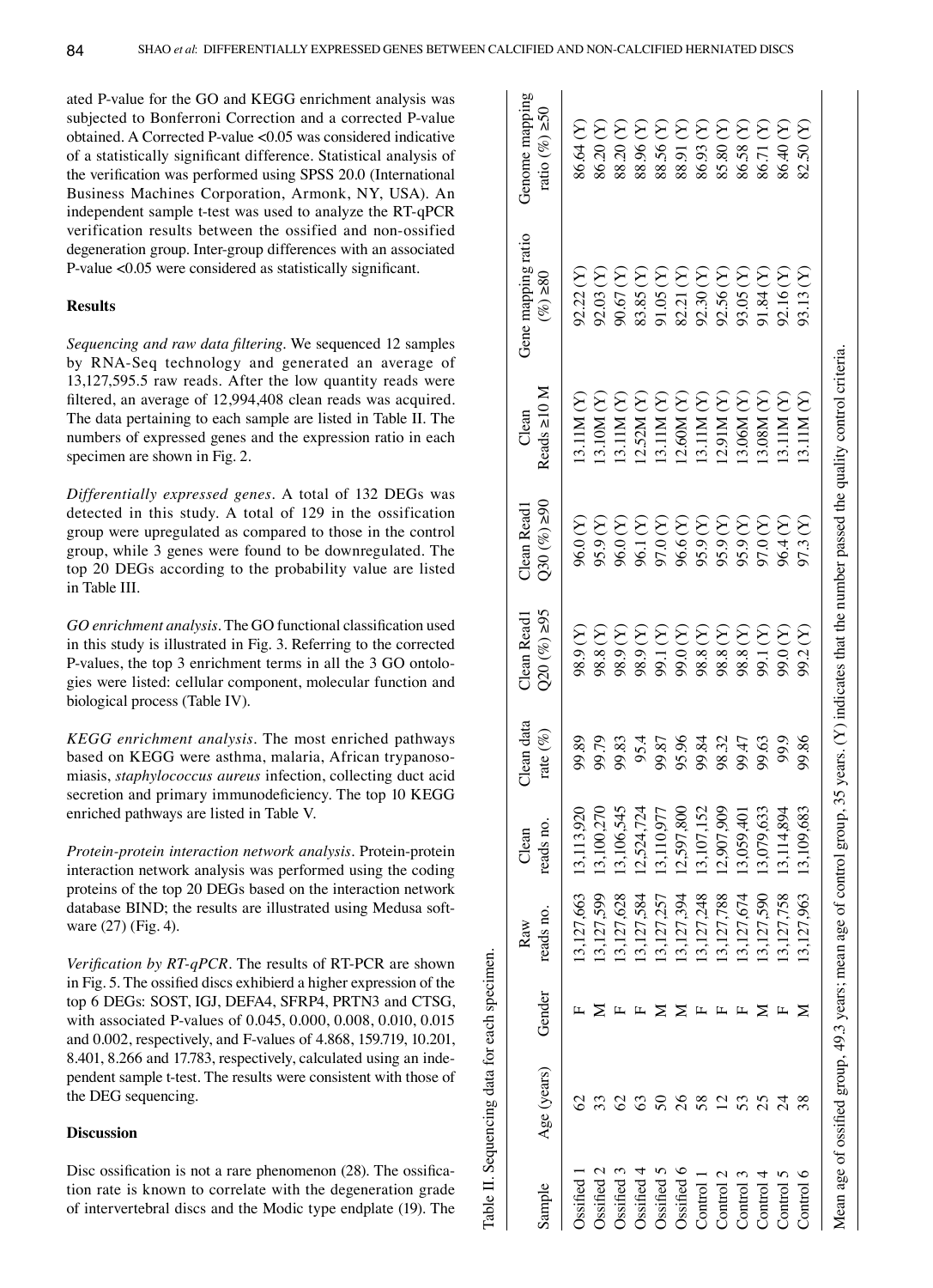Table II. Sequencing data for each specimen.

Table II. Sequencing data for each specimen

ated P-value for the GO and KEGG enrichment analysis was subjected to Bonferroni Correction and a corrected P-value obtained. A Corrected P-value <0.05 was considered indicative of a statistically significant difference. Statistical analysis of the verification was performed using SPSS 20.0 (International Business Machines Corporation, Armonk, NY, USA). An independent sample t-test was used to analyze the RT-qPCR verification results between the ossified and non-ossified degeneration group. Inter-group differences with an associated P-value <0.05 were considered as statistically significant.

## **Results**

*Sequencing and raw data filtering.* We sequenced 12 samples by RNA-Seq technology and generated an average of 13,127,595.5 raw reads. After the low quantity reads were filtered, an average of 12,994,408 clean reads was acquired. The data pertaining to each sample are listed in Table II. The numbers of expressed genes and the expression ratio in each specimen are shown in Fig. 2.

*Differentially expressed genes.* A total of 132 DEGs was detected in this study. A total of 129 in the ossification group were upregulated as compared to those in the control group, while 3 genes were found to be downregulated. The top 20 DEGs according to the probability value are listed in Table III.

*GO enrichment analysis.* The GO functional classification used in this study is illustrated in Fig. 3. Referring to the corrected P-values, the top 3 enrichment terms in all the 3 GO ontologies were listed: cellular component, molecular function and biological process (Table IV).

*KEGG enrichment analysis.* The most enriched pathways based on KEGG were asthma, malaria, African trypanosomiasis, *staphylococcus aureus* infection, collecting duct acid secretion and primary immunodeficiency. The top 10 KEGG enriched pathways are listed in Table V.

*Protein-protein interaction network analysis.* Protein-protein interaction network analysis was performed using the coding proteins of the top 20 DEGs based on the interaction network database BIND; the results are illustrated using Medusa software (27) (Fig. 4).

*Verification by RT-qPCR.* The results of RT-PCR are shown in Fig. 5. The ossified discs exhibierd a higher expression of the top 6 DEGs: SOST, IGJ, DEFA4, SFRP4, PRTN3 and CTSG, with associated P-values of 0.045, 0.000, 0.008, 0.010, 0.015 and 0.002, respectively, and F-values of 4.868, 159.719, 10.201, 8.401, 8.266 and 17.783, respectively, calculated using an independent sample t-test. The results were consistent with those of the DEG sequencing.

## **Discussion**

Disc ossification is not a rare phenomenon (28). The ossification rate is known to correlate with the degeneration grade of intervertebral discs and the Modic type endplate (19). The

| sample                            | Age (years)                                                           | Gender | reads no.<br>Raw | reads no.<br>Clean | Clean data<br>rate $(\%)$ | $Q20(%) \ge 95$<br>Clean Read1 | 0.82(66)<br>Clean Read1 | Reads $\geq$ 10 M<br>Clean                                                 | Gene mapping ratio<br>$(6/8) \ge 80$ | Genome mapping<br>ratio $(%) \ge 50$ |
|-----------------------------------|-----------------------------------------------------------------------|--------|------------------|--------------------|---------------------------|--------------------------------|-------------------------|----------------------------------------------------------------------------|--------------------------------------|--------------------------------------|
| <b>Issified</b>                   |                                                                       |        | 13,127,663       | 13,113,920         | 99.89                     | $(1)$ 6'86                     | 96.0(Y)                 | 13.11M(Y)                                                                  | 92.22(Y)                             | 86.64 (Y)                            |
| Ossified 2                        |                                                                       |        | 13,127,599       | 13,100,270         | 99.79                     | 98.8 <sub>(Y)</sub>            | 95.9 (Y)                | 13.10M (Y)                                                                 | 92.03 (Y)                            | 86.20 <sub>(Y)</sub>                 |
| Ssified 3                         |                                                                       |        | 13,127,628       | 13,106,545         | 99.83                     | $(1)$ 6.86                     | 96.0 (Y)                | 13.11 $M(Y)$                                                               | $(2)$ ( $(2)$ )                      | 88.20 (Y)                            |
| $\overline{\mathrm{O}}$ ssified 4 |                                                                       |        | 13,127,584       | 12.524.724         | 95.4                      | $(2)$ 6.86                     | 96.1(Y)                 | 12.52M (Y)                                                                 | 83.85 (Y)                            | 88.96 <sub>(Y)</sub>                 |
| $\overline{\mathrm{O}}$ ssified 5 |                                                                       |        | 13.127.257       | 13,110,977         | 99.87                     | 99.1(Y)                        | (X) 0.76                | 13.11M(Y)                                                                  | $(Y)$ 50.16                          | 88.56 <sub>(Y)</sub>                 |
| Ossified 6                        |                                                                       |        | 13,127,394       | 12,597,800         | 95.96                     | (X) 0.66                       | $96.6(Y)$               | 12.60M (Y)                                                                 | 82.21 (Y)                            | 88.91 (Y)                            |
| Control 1                         | 58                                                                    |        | 13,127,248       | 13,107,152         | 99.84                     | 98.8 <sub>(X)</sub>            | 95.9 (Y)                | 13.11M(Y)                                                                  | 92.30(Y)                             | 86.93 <sub>(Y)</sub>                 |
| Control 2                         |                                                                       |        | 13,127,788       | 12.907.909         | 98.32                     | 98.8 <sub>(Y)</sub>            | 95.9 (Y)                | (2.91M <sub>Y</sub> )                                                      | 92.56(Y)                             | 85.80 <sub>(Y)</sub>                 |
| Control $3$                       |                                                                       |        | 13,127,674       | 13,059,401         | 99.47                     | 98.8 <sub>(Y)</sub>            | 95.9 (Y)                | 13.06M (Y)                                                                 | 93.05(Y)                             | 86.58 <sub>(Y)</sub>                 |
| Control $4$                       |                                                                       |        | 13,127,590       | 13,079,633         | 99.63                     | 99.1(Y)                        | (X) 0.76                | 3.08M(Y)                                                                   | $(1)$ 1.84 $(Y)$                     | 86.71 (Y)                            |
| Control 5                         |                                                                       |        | 13,127,758       | 13,114,894         | 99.9                      | (X) 0.66                       | $(1)$ $\mathcal{V}$ 96  | 13.11M(Y)                                                                  | 92.16(Y)                             | 86.40 (Y)                            |
| Control $6$                       |                                                                       |        | 13,127,963       | 13,109,683         | 99.86                     | 99.2(Y)                        | 7.3(Y)                  | 13.11M(Y)                                                                  | 93.13 (Y)                            | 82.50 (Y)                            |
|                                   | Mean age of ossified group, 49.3 years; mean age of control group, 35 |        |                  |                    |                           |                                |                         | years. $(Y)$ indicates that the number passed the quality control criteria |                                      |                                      |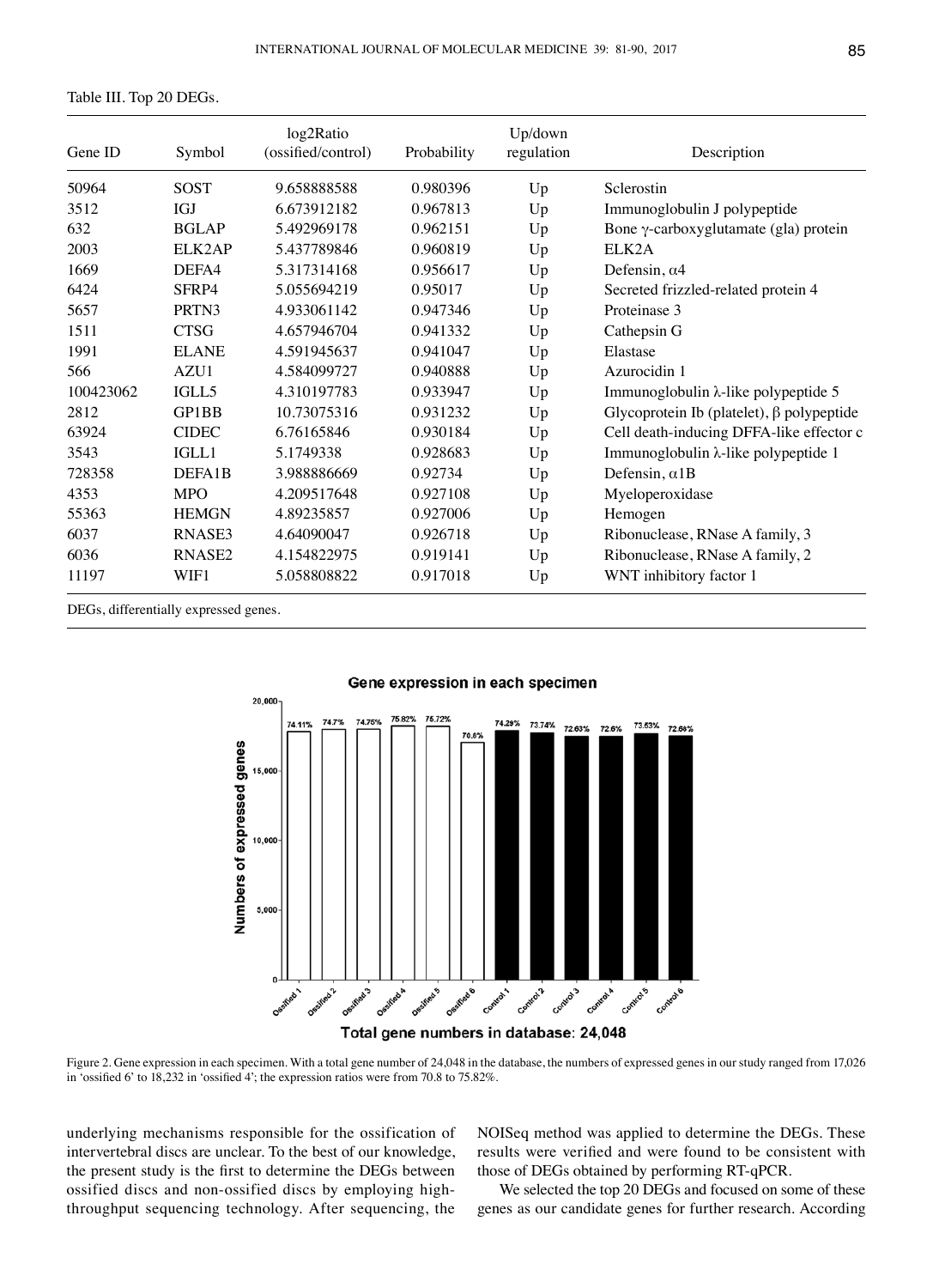Table III. Top 20 DEGs.

| Gene ID   | Symbol             | log2Ratio<br>(ossified/control) | Probability | Up/down<br>regulation | Description                                     |
|-----------|--------------------|---------------------------------|-------------|-----------------------|-------------------------------------------------|
| 50964     | <b>SOST</b>        | 9.658888588                     | 0.980396    | Up                    | Sclerostin                                      |
| 3512      | <b>IGJ</b>         | 6.673912182                     | 0.967813    | Up                    | Immunoglobulin J polypeptide                    |
| 632       | <b>BGLAP</b>       | 5.492969178                     | 0.962151    | Up                    | Bone $\gamma$ -carboxyglutamate (gla) protein   |
| 2003      | ELK2AP             | 5.437789846                     | 0.960819    | Up                    | ELK2A                                           |
| 1669      | DEFA4              | 5.317314168                     | 0.956617    | Up                    | Defensin, $\alpha$ 4                            |
| 6424      | SFRP4              | 5.055694219                     | 0.95017     | Up                    | Secreted frizzled-related protein 4             |
| 5657      | PRTN3              | 4.933061142                     | 0.947346    | Up                    | Proteinase 3                                    |
| 1511      | <b>CTSG</b>        | 4.657946704                     | 0.941332    | Up                    | Cathepsin G                                     |
| 1991      | <b>ELANE</b>       | 4.591945637                     | 0.941047    | Up                    | Elastase                                        |
| 566       | AZU1               | 4.584099727                     | 0.940888    | Up                    | Azurocidin 1                                    |
| 100423062 | IGLL5              | 4.310197783                     | 0.933947    | Up                    | Immunoglobulin λ-like polypeptide 5             |
| 2812      | GP1BB              | 10.73075316                     | 0.931232    | Up                    | Glycoprotein Ib (platelet), $\beta$ polypeptide |
| 63924     | <b>CIDEC</b>       | 6.76165846                      | 0.930184    | Up                    | Cell death-inducing DFFA-like effector c        |
| 3543      | IGLL1              | 5.1749338                       | 0.928683    | Up                    | Immunoglobulin λ-like polypeptide 1             |
| 728358    | DEFA1B             | 3.988886669                     | 0.92734     | Up                    | Defensin, $\alpha$ 1B                           |
| 4353      | <b>MPO</b>         | 4.209517648                     | 0.927108    | Up                    | Myeloperoxidase                                 |
| 55363     | <b>HEMGN</b>       | 4.89235857                      | 0.927006    | Up                    | Hemogen                                         |
| 6037      | RNASE3             | 4.64090047                      | 0.926718    | Up                    | Ribonuclease, RNase A family, 3                 |
| 6036      | RNASE <sub>2</sub> | 4.154822975                     | 0.919141    | Up                    | Ribonuclease, RNase A family, 2                 |
| 11197     | WIF1               | 5.058808822                     | 0.917018    | Up                    | WNT inhibitory factor 1                         |

DEGs, differentially expressed genes.





Figure 2. Gene expression in each specimen. With a total gene number of 24,048 in the database, the numbers of expressed genes in our study ranged from 17,026 in 'ossified 6' to 18,232 in 'ossified 4'; the expression ratios were from 70.8 to 75.82%.

underlying mechanisms responsible for the ossification of intervertebral discs are unclear. To the best of our knowledge, the present study is the first to determine the DEGs between ossified discs and non-ossified discs by employing highthroughput sequencing technology. After sequencing, the NOISeq method was applied to determine the DEGs. These results were verified and were found to be consistent with those of DEGs obtained by performing RT-qPCR.

We selected the top 20 DEGs and focused on some of these genes as our candidate genes for further research. According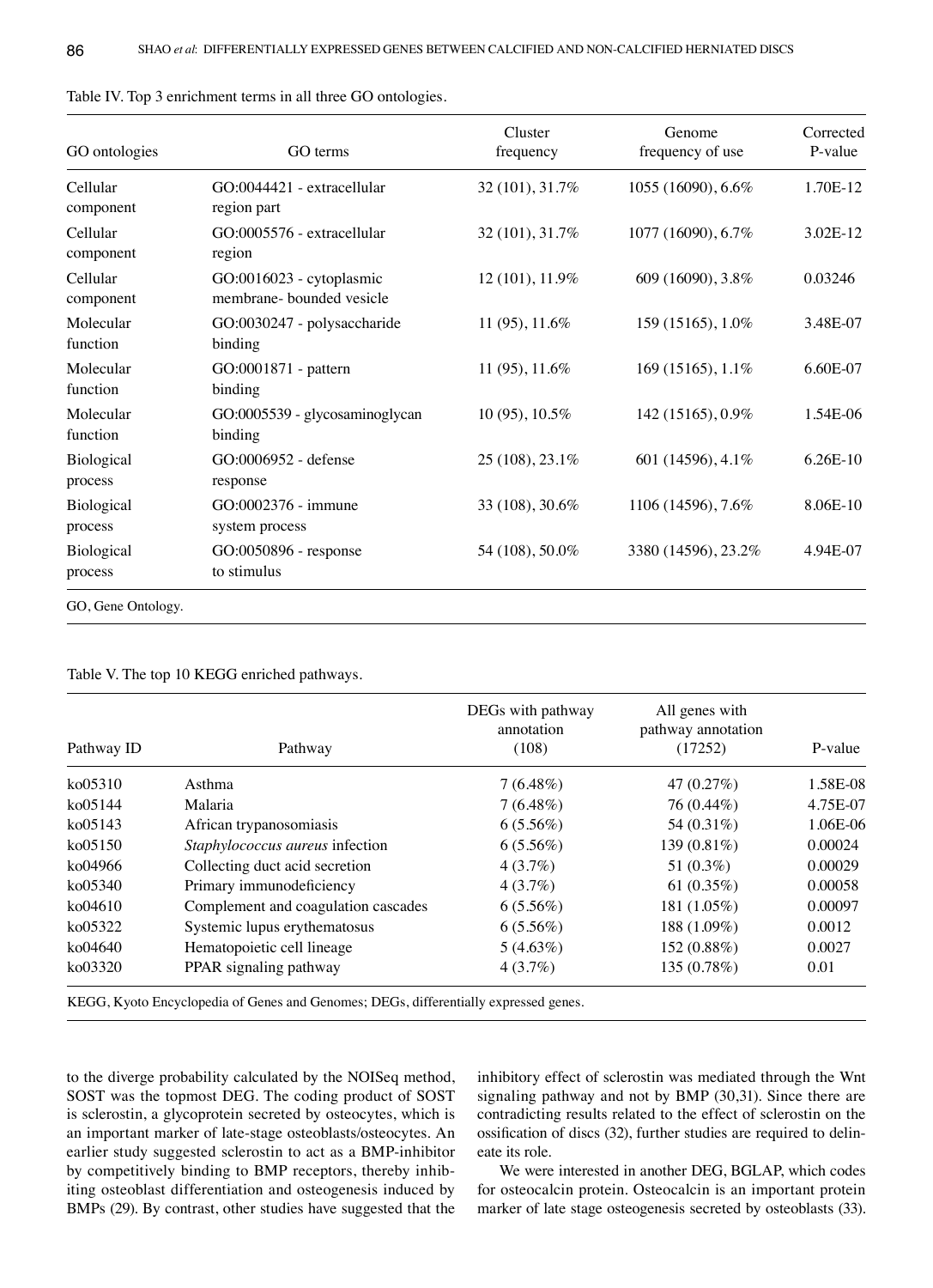| GO ontologies         | GO terms                                              | Cluster<br>frequency | Genome<br>frequency of use | Corrected<br>P-value |
|-----------------------|-------------------------------------------------------|----------------------|----------------------------|----------------------|
| Cellular<br>component | GO:0044421 - extracellular<br>region part             | 32 (101), 31.7%      | 1055 (16090), 6.6%         | 1.70E-12             |
| Cellular<br>component | GO:0005576 - extracellular<br>region                  | 32 (101), 31.7%      | 1077 (16090), 6.7%         | 3.02E-12             |
| Cellular<br>component | GO:0016023 - cytoplasmic<br>membrane- bounded vesicle | 12 (101), 11.9%      | 609 (16090), 3.8%          | 0.03246              |
| Molecular<br>function | GO:0030247 - polysaccharide<br>binding                | 11 (95), 11.6%       | 159 (15165), 1.0%          | 3.48E-07             |
| Molecular<br>function | GO:0001871 - pattern<br>binding                       | 11 (95), 11.6%       | 169 (15165), 1.1%          | 6.60E-07             |
| Molecular<br>function | GO:0005539 - glycosaminoglycan<br>binding             | 10 (95), 10.5%       | 142 (15165), 0.9%          | 1.54E-06             |
| Biological<br>process | GO:0006952 - defense<br>response                      | 25 (108), 23.1%      | 601 (14596), 4.1%          | 6.26E-10             |
| Biological<br>process | GO:0002376 - immune<br>system process                 | 33 (108), 30.6%      | 1106 (14596), 7.6%         | 8.06E-10             |
| Biological<br>process | GO:0050896 - response<br>to stimulus                  | 54 (108), 50.0%      | 3380 (14596), 23.2%        | 4.94E-07             |
| GO, Gene Ontology.    |                                                       |                      |                            |                      |

| Table IV. Top 3 enrichment terms in all three GO ontologies. |  |  |
|--------------------------------------------------------------|--|--|
|--------------------------------------------------------------|--|--|

Table V. The top 10 KEGG enriched pathways.

| Pathway ID<br>Pathway |                                     | DEGs with pathway<br>annotation<br>(108) | All genes with<br>pathway annotation<br>(17252) | P-value  |
|-----------------------|-------------------------------------|------------------------------------------|-------------------------------------------------|----------|
| ko05310               | Asthma                              | $7(6.48\%)$                              | 47 $(0.27%)$                                    | 1.58E-08 |
| ko05144               | Malaria                             | $7(6.48\%)$                              | 76 (0.44%)                                      | 4.75E-07 |
| $k$ o $05143$         | African trypanosomiasis             | $6(5.56\%)$                              | 54 (0.31\%)                                     | 1.06E-06 |
| ko05150               | Staphylococcus aureus infection     | $6(5.56\%)$                              | 139 (0.81%)                                     | 0.00024  |
| ko04966               | Collecting duct acid secretion      | 4(3.7%)                                  | 51 $(0.3\%)$                                    | 0.00029  |
| ko05340               | Primary immunodeficiency            | 4(3.7%)                                  | 61 $(0.35%)$                                    | 0.00058  |
| ko04610               | Complement and coagulation cascades | $6(5.56\%)$                              | 181 (1.05%)                                     | 0.00097  |
| ko05322               | Systemic lupus erythematosus        | $6(5.56\%)$                              | 188 (1.09%)                                     | 0.0012   |
| ko04640               | Hematopoietic cell lineage          | $5(4.63\%)$                              | 152 (0.88%)                                     | 0.0027   |
| ko03320               | PPAR signaling pathway              | $4(3.7\%)$                               | 135(0.78%)                                      | 0.01     |

to the diverge probability calculated by the NOISeq method, SOST was the topmost DEG. The coding product of SOST is sclerostin, a glycoprotein secreted by osteocytes, which is an important marker of late-stage osteoblasts/osteocytes. An earlier study suggested sclerostin to act as a BMP-inhibitor by competitively binding to BMP receptors, thereby inhibiting osteoblast differentiation and osteogenesis induced by BMPs (29). By contrast, other studies have suggested that the inhibitory effect of sclerostin was mediated through the Wnt signaling pathway and not by BMP (30,31). Since there are contradicting results related to the effect of sclerostin on the ossification of discs (32), further studies are required to delineate its role.

We were interested in another DEG, BGLAP, which codes for osteocalcin protein. Osteocalcin is an important protein marker of late stage osteogenesis secreted by osteoblasts (33).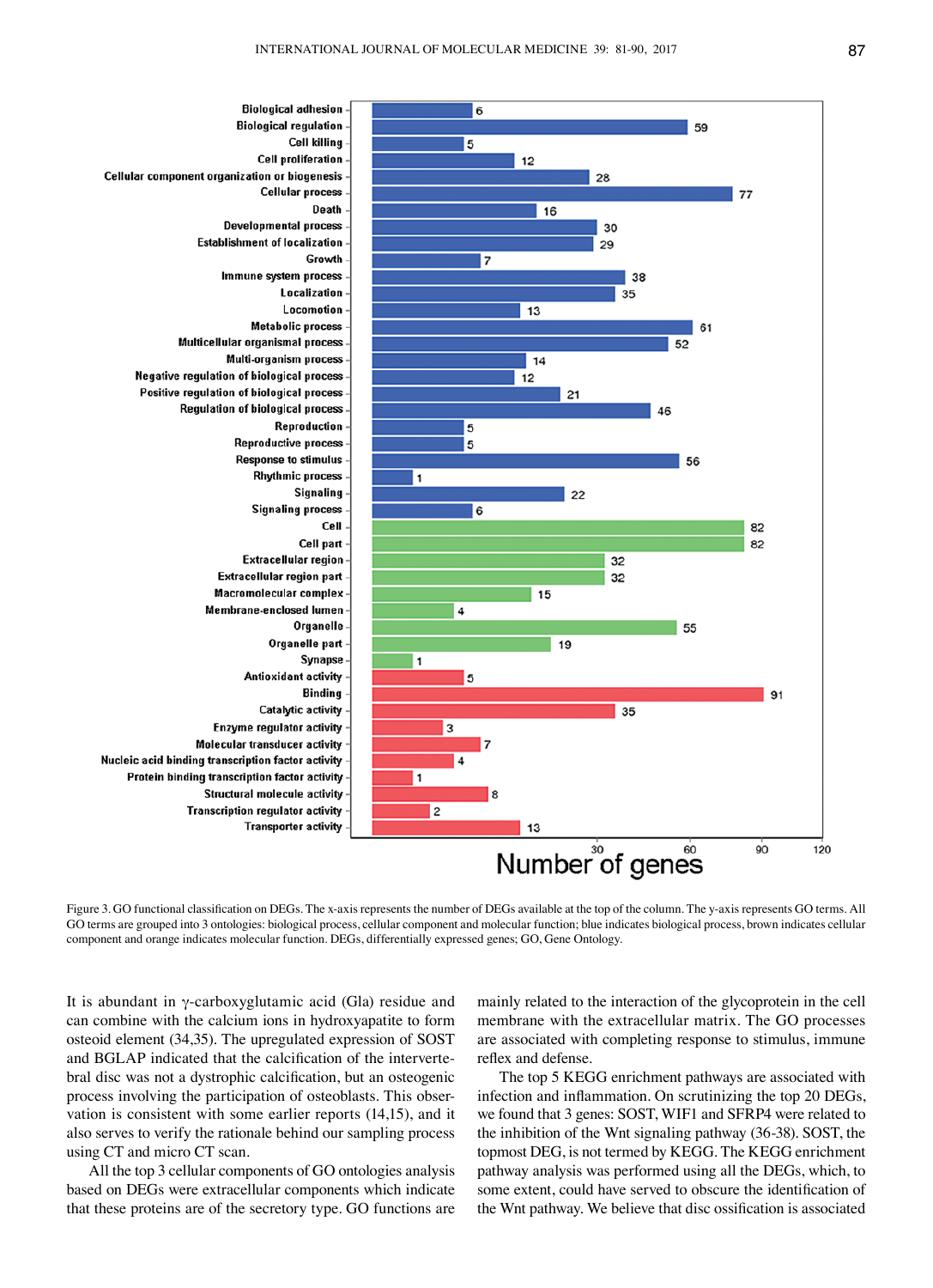

Figure 3. GO functional classification on DEGs. The x-axis represents the number of DEGs available at the top of the column. The y-axis represents GO terms. All GO terms are grouped into 3 ontologies: biological process, cellular component and molecular function; blue indicates biological process, brown indicates cellular component and orange indicates molecular function. DEGs, differentially expressed genes; GO, Gene Ontology.

It is abundant in  $\gamma$ -carboxyglutamic acid (Gla) residue and can combine with the calcium ions in hydroxyapatite to form osteoid element (34,35). The upregulated expression of SOST and BGLAP indicated that the calcification of the intervertebral disc was not a dystrophic calcification, but an osteogenic process involving the participation of osteoblasts. This observation is consistent with some earlier reports (14,15), and it also serves to verify the rationale behind our sampling process using CT and micro CT scan.

All the top 3 cellular components of GO ontologies analysis based on DEGs were extracellular components which indicate that these proteins are of the secretory type. GO functions are mainly related to the interaction of the glycoprotein in the cell membrane with the extracellular matrix. The GO processes are associated with completing response to stimulus, immune reflex and defense.

The top 5 KEGG enrichment pathways are associated with infection and inflammation. On scrutinizing the top 20 DEGs, we found that 3 genes: SOST, WIF1 and SFRP4 were related to the inhibition of the Wnt signaling pathway (36-38). SOST, the topmost DEG, is not termed by KEGG. The KEGG enrichment pathway analysis was performed using all the DEGs, which, to some extent, could have served to obscure the identification of the Wnt pathway. We believe that disc ossification is associated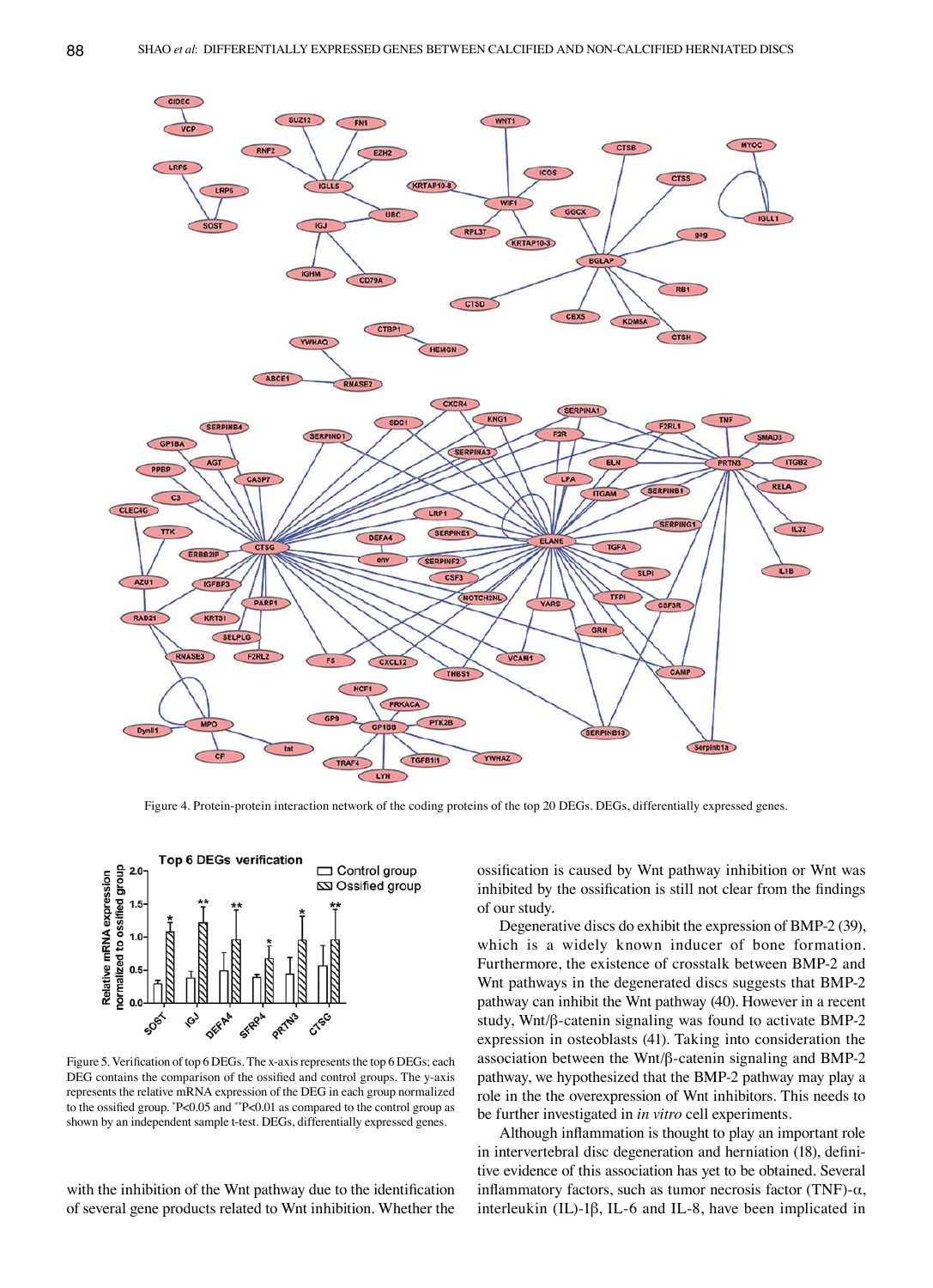

Figure 4. Protein-protein interaction network of the coding proteins of the top 20 DEGs. DEGs, differentially expressed genes.



Figure 5. Verification of top 6 DEGs. The x-axis represents the top 6 DEGs; each DEG contains the comparison of the ossified and control groups. The y-axis represents the relative mRNA expression of the DEG in each group normalized to the ossified group. \* P<0.05 and \*\*P<0.01 as compared to the control group as shown by an independent sample t-test. DEGs, differentially expressed genes.

with the inhibition of the Wnt pathway due to the identification of several gene products related to Wnt inhibition. Whether the ossification is caused by Wnt pathway inhibition or Wnt was inhibited by the ossification is still not clear from the findings of our study.

Degenerative discs do exhibit the expression of BMP-2 (39), which is a widely known inducer of bone formation. Furthermore, the existence of crosstalk between BMP-2 and Wnt pathways in the degenerated discs suggests that BMP-2 pathway can inhibit the Wnt pathway (40). However in a recent study, Wnt/β‑catenin signaling was found to activate BMP-2 expression in osteoblasts (41). Taking into consideration the association between the Wnt/β-catenin signaling and BMP-2 pathway, we hypothesized that the BMP-2 pathway may play a role in the the overexpression of Wnt inhibitors. This needs to be further investigated in *in vitro* cell experiments.

Although inflammation is thought to play an important role in intervertebral disc degeneration and herniation (18), definitive evidence of this association has yet to be obtained. Several inflammatory factors, such as tumor necrosis factor (TNF)- $\alpha$ , interleukin (IL)-1β, IL-6 and IL-8, have been implicated in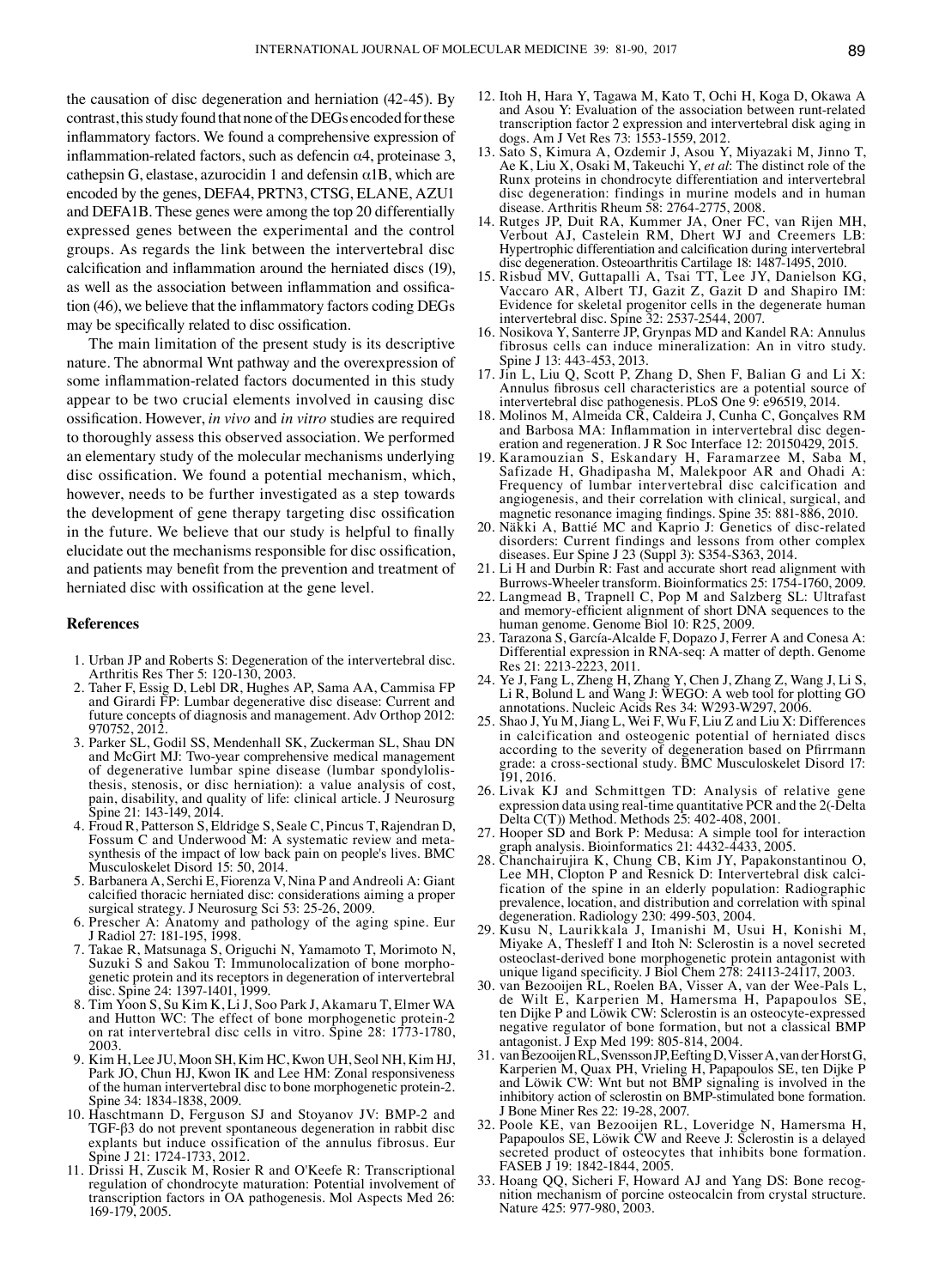the causation of disc degeneration and herniation (42-45). By contrast, this study found that none of the DEGs encoded for these inflammatory factors. We found a comprehensive expression of inflammation-related factors, such as defencin  $\alpha$ 4, proteinase 3, cathepsin G, elastase, azurocidin 1 and defensin  $\alpha$ 1B, which are encoded by the genes, DEFA4, PRTN3, CTSG, ELANE, AZU1 and DEFA1B. These genes were among the top 20 differentially expressed genes between the experimental and the control groups. As regards the link between the intervertebral disc calcification and inflammation around the herniated discs (19), as well as the association between inflammation and ossification (46), we believe that the inflammatory factors coding DEGs may be specifically related to disc ossification.

The main limitation of the present study is its descriptive nature. The abnormal Wnt pathway and the overexpression of some inflammation-related factors documented in this study appear to be two crucial elements involved in causing disc ossification. However, *in vivo* and *in vitro* studies are required to thoroughly assess this observed association. We performed an elementary study of the molecular mechanisms underlying disc ossification. We found a potential mechanism, which, however, needs to be further investigated as a step towards the development of gene therapy targeting disc ossification in the future. We believe that our study is helpful to finally elucidate out the mechanisms responsible for disc ossification, and patients may benefit from the prevention and treatment of herniated disc with ossification at the gene level.

#### **References**

- 1. Urban JP and Roberts S: Degeneration of the intervertebral disc. Arthritis Res Ther 5: 120-130, 2003.
- 2. Taher F, Essig D, Lebl DR, Hughes AP, Sama AA, Cammisa FP and Girardi FP: Lumbar degenerative disc disease: Current and future concepts of diagnosis and management. Adv Orthop 2012: 970752, 2012.
- 3. Parker SL, Godil SS, Mendenhall SK, Zuckerman SL, Shau DN and McGirt MJ: Two-year comprehensive medical management thesis, stenosis, or disc herniation): a value analysis of cost, pain, disability, and quality of life: clinical article. J Neurosurg Spine 21: 143-149, 2014.
- 4. Froud R, Patterson S, Eldridge S, Seale C, Pincus T, Rajendran D, Fossum C and Underwood M: A systematic review and metasynthesis of the impact of low back pain on people's lives. BMC Musculoskelet Disord 15: 50, 2014.
- 5. Barbanera A, Serchi E, Fiorenza V, Nina P and Andreoli A: Giant calcified thoracic herniated disc: considerations aiming a proper surgical strategy. J Neurosurg Sci 53: 25-26, 2009.
- 6. Prescher A: Anatomy and pathology of the aging spine. Eur J Radiol 27: 181-195, 1998.
- 7. Takae R, Matsunaga S, Origuchi N, Yamamoto T, Morimoto N, genetic protein and its receptors in degeneration of intervertebral disc. Spine 24: 1397-1401, 1999.
- 8. Tim Yoon S, Su Kim K, Li J, Soo Park J, Akamaru T, Elmer WA and Hutton WC: The effect of bone morphogenetic protein-2 on rat intervertebral disc cells in vitro. Spine 28: 1773-1780, 2003.
- 9. Kim H, Lee JU, Moon SH, Kim HC, Kwon UH, Seol NH, Kim HJ, Park JO, Chun HJ, Kwon IK and Lee HM: Zonal responsiveness of the human intervertebral disc to bone morphogenetic protein-2. Spine 34: 1834-1838, 2009.
- 10. Haschtmann D, Ferguson SJ and Stoyanov JV: BMP-2 and TGF-β3 do not prevent spontaneous degeneration in rabbit disc explants but induce ossification of the annulus fibrosus. Eur Spine J 21: 1724-1733, 2012.
- 11. Drissi H, Zuscik M, Rosier R and O'Keefe R: Transcriptional regulation of chondrocyte maturation: Potential involvement of transcription factors in OA pathogenesis. Mol Aspects Med 26: 169-179, 2005.
- 12. Itoh H, Hara Y, Tagawa M, Kato T, Ochi H, Koga D, Okawa A and Asou Y: Evaluation of the association between runt-related transcription factor 2 expression and intervertebral disk aging in dogs. Am J Vet Res 73: 1553-1559, 2012.
- 13. Sato S, Kimura A, Ozdemir J, Asou Y, Miyazaki M, Jinno T, Ae K, Liu X, Osaki M, Takeuchi Y, *et al*: The distinct role of the Runx proteins in chondrocyte differentiation and intervertebral disc degeneration: findings in murine models and in human disease. Arthritis Rheum 58: 2764-2775, 2008.
- 14. Rutges JP, Duit RA, Kummer JA, Oner FC, van Rijen MH, Verbout AJ, Castelein RM, Dhert WJ and Creemers LB: Hypertrophic differentiation and calcification during intervertebral disc degeneration. Osteoarthritis Cartilage 18: 1487-1495, 2010.
- 15. Risbud MV, Guttapalli A, Tsai TT, Lee JY, Danielson KG, Vaccaro AR, Albert TJ, Gazit Z, Gazit D and Shapiro IM: Evidence for skeletal progenitor cells in the degenerate human intervertebral disc. Spine 32: 2537-2544, 2007.
- 16. Nosikova Y, Santerre JP, Grynpas MD and Kandel RA: Annulus fibrosus cells can induce mineralization: An in vitro study. Spine J 13: 443-453, 2013.
- 17. Jin L, Liu Q, Scott P, Zhang D, Shen F, Balian G and Li X: Annulus fibrosus cell characteristics are a potential source of intervertebral disc pathogenesis. PLoS One 9: e96519, 2014.
- 18. Molinos M, Almeida CR, Caldeira J, Cunha C, Gonçalves RM<br>and Barbosa MA: Inflammation in intervertebral disc degeneration and regeneration. J R Soc Interface 12: 20150429, 2015.
- 19. Karamouzian S, Eskandary H, Faramarzee M, Saba M, Safizade H, Ghadipasha M, Malekpoor AR and Ohadi A: Frequency of lumbar intervertebral disc calcification and angiogenesis, and their correlation with clinical, surgical, and magnetic resonance imaging findings. Spine 35: 881-886, 2010.
- 20. Näkki A, Battié MC and Kaprio J: Genetics of disc-related disorders: Current findings and lessons from other complex diseases. Eur Spine J 23 (Suppl 3): S354-S363, 2014.
- 21. Li H and Durbin R: Fast and accurate short read alignment with Burrows-Wheeler transform. Bioinformatics 25: 1754-1760, 2009.
- 22. Langmead B, Trapnell C, Pop M and Salzberg SL: Ultrafast and memory-efficient alignment of short DNA sequences to the human genome. Genome Biol 10: R25, 2009.
- 23. Tarazona S, García-Alcalde F, Dopazo J, Ferrer A and Conesa A: Differential expression in RNA-seq: A matter of depth. Genome Res 21: 2213-2223, 2011.
- 24. Ye J, Fang L, Zheng H, Zhang Y, Chen J, Zhang Z, Wang J, Li S, Li R, Bolund L and Wang J: WEGO: A web tool for plotting GO annotations. Nucleic Acids Res 34: W293-W297, 2006.
- 25. Shao J, Yu M, Jiang L, Wei F, Wu F, Liu Z and Liu X: Differences in calcification and osteogenic potential of herniated discs according to the severity of degeneration based on Pfirrmann grade: a cross-sectional study. BMC Musculoskelet Disord 17: 191, 2016.
- 26. Livak KJ and Schmittgen TD: Analysis of relative gene expression data using real-time quantitative PCR and the 2(-Delta Delta C(T)) Method. Methods 25: 402-408, 2001.
- 27. Hooper SD and Bork P: Medusa: A simple tool for interaction graph analysis. Bioinformatics 21: 4432-4433, 2005.
- 28. Chanchairujira K, Chung CB, Kim JY, Papakonstantinou O, fication of the spine in an elderly population: Radiographic prevalence, location, and distribution and correlation with spinal degeneration. Radiology 230: 499-503, 2004.
- 29. Kusu N, Laurikkala J, Imanishi M, Usui H, Konishi M, Miyake A, Thesleff I and Itoh N: Sclerostin is a novel secreted osteoclast-derived bone morphogenetic protein antagonist with unique ligand specificity. J Biol Chem 278: 24113-24117, 2003.
- 30. van Bezooijen RL, Roelen BA, Visser A, van der Wee-Pals L, de Wilt E, Karperien M, Hamersma H, Papapoulos SE, ten Dijke P and Löwik CW: Sclerostin is an osteocyte-expressed negative regulator of bone formation, but not a classical BMP antagonist. J Exp Med 199: 805-814, 2004.
- 31. van Bezooijen RL, Svensson JP, Eefting D, Visser A, vanderHorstG, Karperien M, Quax PH, Vrieling H, Papapoulos SE, ten Dijke P and Löwik CW: Wnt but not BMP signaling is involved in the inhibitory action of sclerostin on BMP-stimulated bone formation. J Bone Miner Res 22: 19-28, 2007.
- 32. Poole KE, van Bezooijen RL, Loveridge N, Hamersma H, Papapoulos SE, Löwik CW and Reeve J: Sclerostin is a delayed secreted product of osteocytes that inhibits bone formation. FASEB J 19: 1842-1844, 2005.<br>33. Hoang QQ, Sicheri F, Howard AJ and Yang DS: Bone recog-
- nition mechanism of porcine osteocalcin from crystal structure. Nature 425: 977-980, 2003.